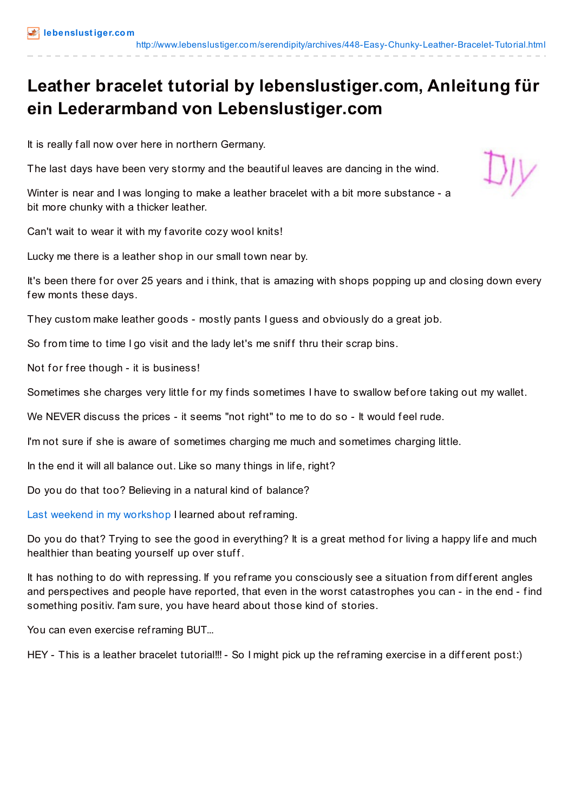## **Leather bracelet tutorial by lebenslustiger.com, Anleitung für ein Lederarmband von Lebenslustiger.com**

It is really fall now over here in northern Germany.

The last days have been very stormy and the beautif ul leaves are dancing in the wind.

Winter is near and I was longing to make a leather bracelet with a bit more substance - a bit more chunky with a thicker leather.

Can't wait to wear it with my f avorite cozy wool knits!

Lucky me there is a leather shop in our small town near by.

It's been there for over 25 years and i think, that is amazing with shops popping up and closing down every few monts these days.

They custom make leather goods - mostly pants I guess and obviously do a great job.

So from time to time I go visit and the lady let's me snif f thru their scrap bins.

Not for free though - it is business!

Sometimes she charges very little for my finds sometimes I have to swallow before taking out my wallet.

We NEVER discuss the prices - it seems "not right" to me to do so - It would feel rude.

I'm not sure if she is aware of sometimes charging me much and sometimes charging little.

In the end it will all balance out. Like so many things in lif e, right?

Do you do that too? Believing in a natural kind of balance?

Last weekend in my [workshop](http://www.lebenslustiger.com/serendipity/archives/239-Learning-Happiness....html) I learned about reframing.

Do you do that? Trying to see the good in everything? It is a great method for living a happy life and much healthier than beating yourself up over stuff.

It has nothing to do with repressing. If you reframe you consciously see a situation from different angles and perspectives and people have reported, that even in the worst catastrophes you can - in the end - find something positiv. I'am sure, you have heard about those kind of stories.

You can even exercise reframing BUT...

HEY - This is a leather bracelet tutorial!!! - So I might pick up the reframing exercise in a different post:)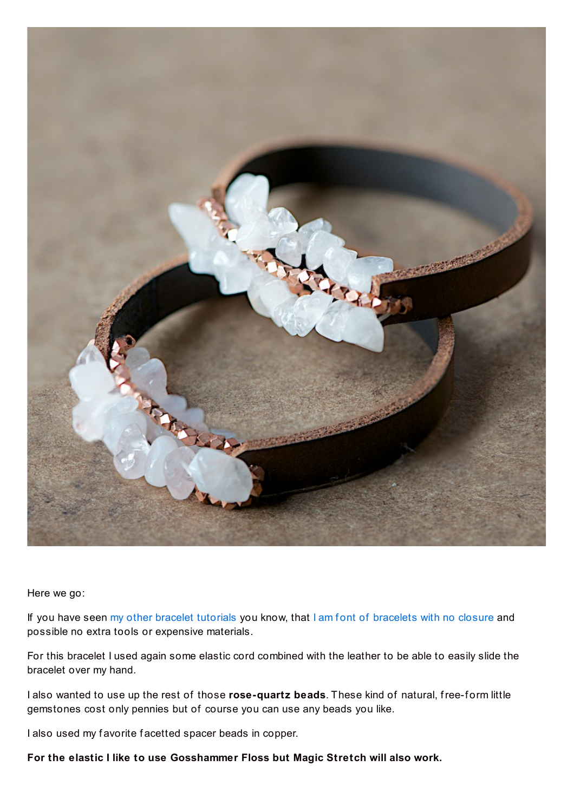

Here we go:

If you have seen my other bracelet [tutorials](http://www.lebenslustiger.com/serendipity/pages/bracelets.html) you know, that I am font of [bracelets](http://www.lebenslustiger.com/serendipity/archives/200-Leather-Bracelet-Tutorial-With-A-Little-Trick-And-Give-Away!.html) with no closure and possible no extra tools or expensive materials.

For this bracelet I used again some elastic cord combined with the leather to be able to easily slide the bracelet over my hand.

I also wanted to use up the rest of those **rose-quartz beads**. These kind of natural, free-form little gemstones cost only pennies but of course you can use any beads you like.

I also used my favorite facetted spacer beads in copper.

**For the elastic I like to use Gosshammer Floss but Magic Stretch will also work.**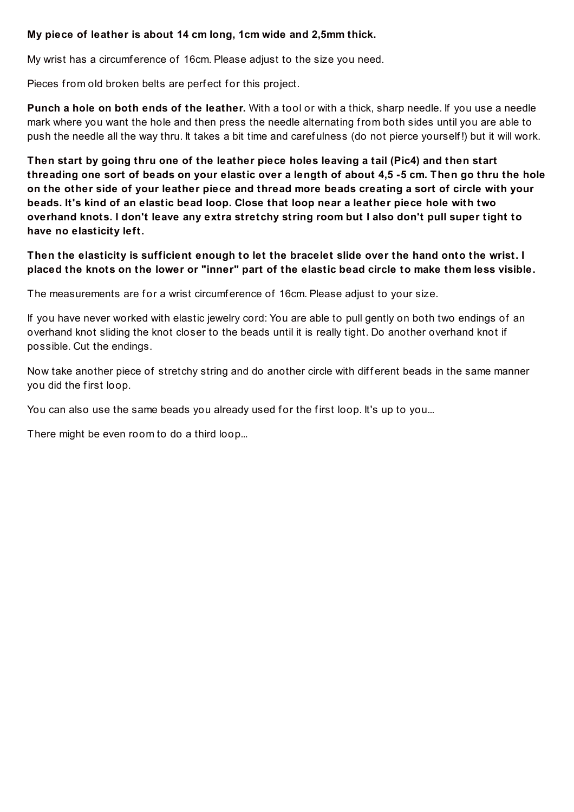## **My piece of leather is about 14 cm long, 1cm wide and 2,5mm thick.**

My wrist has a circumf erence of 16cm. Please adjust to the size you need.

Pieces from old broken belts are perfect for this project.

**Punch a hole on both ends of the leather.** With a tool or with a thick, sharp needle. If you use a needle mark where you want the hole and then press the needle alternating from both sides until you are able to push the needle all the way thru. It takes a bit time and caref ulness (do not pierce yourself !) but it will work.

**Then start by going thru one of the leather piece holes leaving a tail (Pic4) and then start** threading one sort of beads on your elastic over a length of about 4,5 -5 cm. Then go thru the hole on the other side of your leather piece and thread more beads creating a sort of circle with your **beads. It's kind of an elastic bead loop. Close that loop near a leather piece hole with two overhand knots. I don't leave any extra stretchy string room but I also don't pull super tight to have no elasticity left.**

**Then the elasticity is sufficient enough to let the bracelet slide over the hand onto the wrist. I** placed the knots on the lower or "inner" part of the elastic bead circle to make them less visible.

The measurements are for a wrist circumference of 16cm. Please adjust to your size.

If you have never worked with elastic jewelry cord: You are able to pull gently on both two endings of an overhand knot sliding the knot closer to the beads until it is really tight. Do another overhand knot if possible. Cut the endings.

Now take another piece of stretchy string and do another circle with different beads in the same manner you did the first loop.

You can also use the same beads you already used for the first loop. It's up to you...

There might be even room to do a third loop...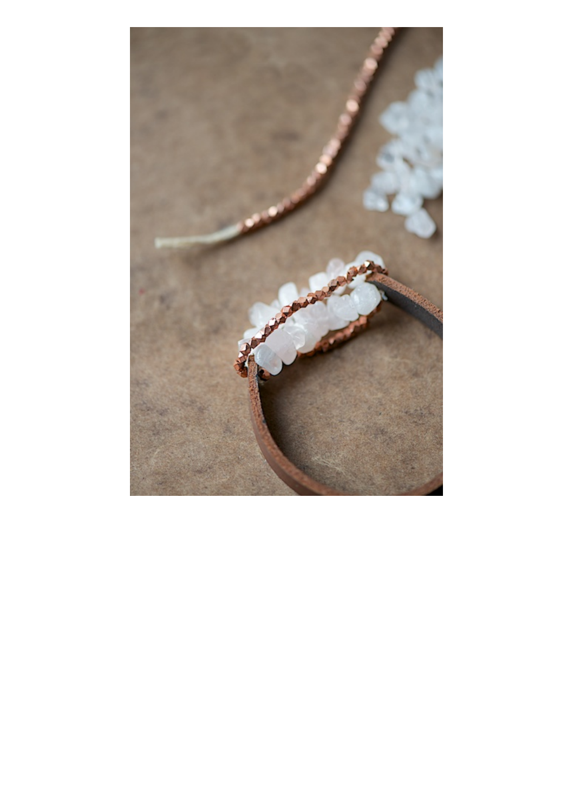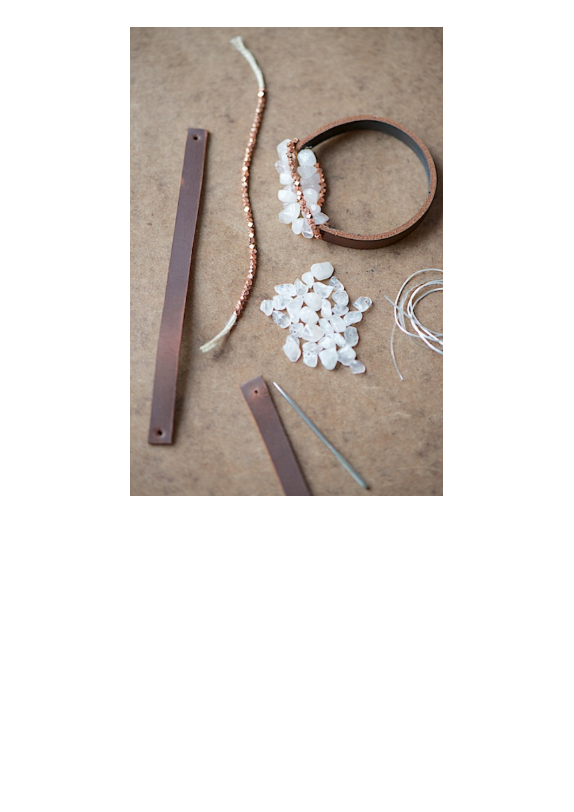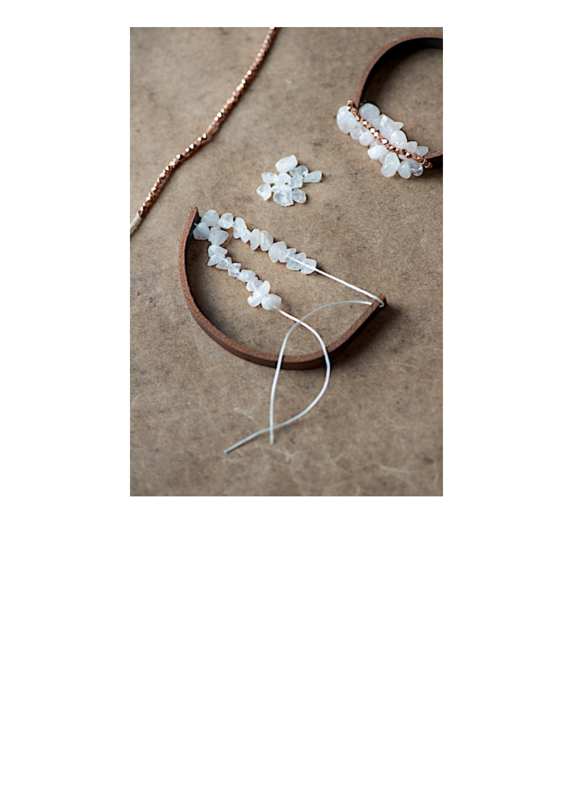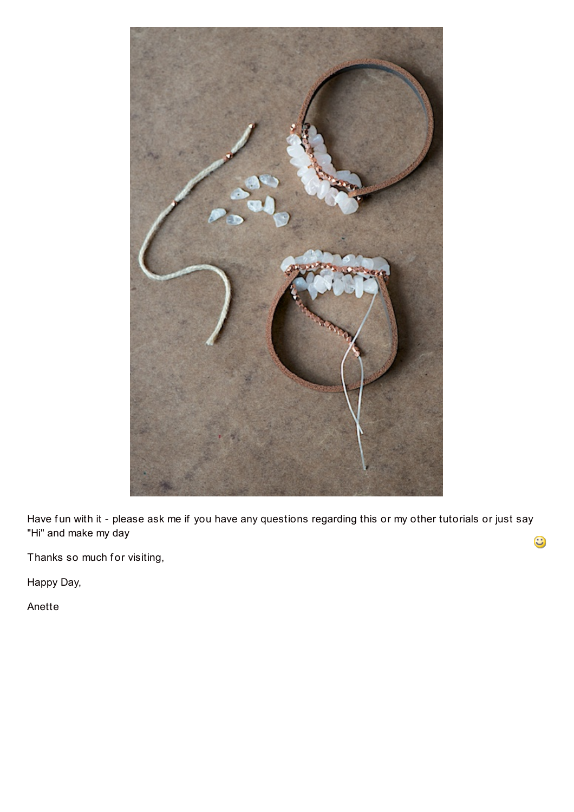

Have fun with it - please ask me if you have any questions regarding this or my other tutorials or just say "Hi" and make my day

Thanks so much for visiting,

Happy Day,

Anette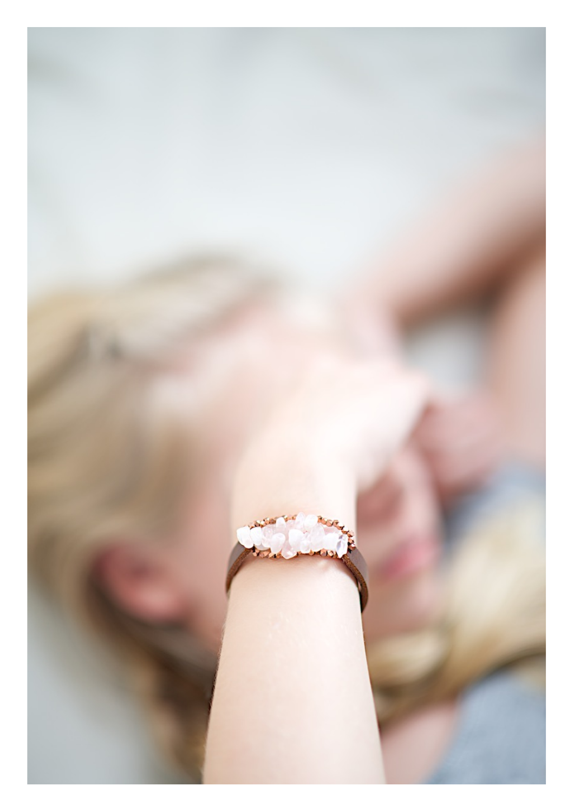